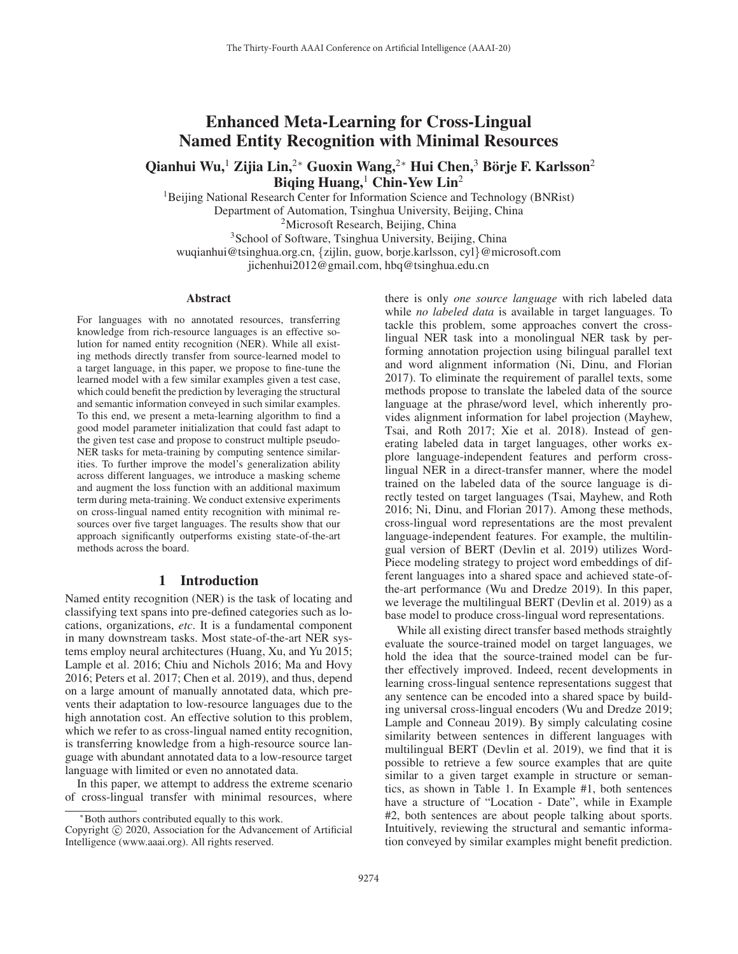# Enhanced Meta-Learning for Cross-Lingual Named Entity Recognition with Minimal Resources

Qianhui Wu,<sup>1</sup> Zijia Lin,<sup>2∗</sup> Guoxin Wang,<sup>2∗</sup> Hui Chen,<sup>3</sup> Börje F. Karlsson<sup>2</sup> Biqing Huang,  $^1$  Chin-Yew Lin<sup>2</sup>

<sup>1</sup>Beijing National Research Center for Information Science and Technology (BNRist) Department of Automation, Tsinghua University, Beijing, China

<sup>2</sup>Microsoft Research, Beijing, China <sup>3</sup>School of Software, Tsinghua University, Beijing, China

wuqianhui@tsinghua.org.cn, {zijlin, guow, borje.karlsson, cyl}@microsoft.com jichenhui2012@gmail.com, hbq@tsinghua.edu.cn

#### Abstract

For languages with no annotated resources, transferring knowledge from rich-resource languages is an effective solution for named entity recognition (NER). While all existing methods directly transfer from source-learned model to a target language, in this paper, we propose to fine-tune the learned model with a few similar examples given a test case, which could benefit the prediction by leveraging the structural and semantic information conveyed in such similar examples. To this end, we present a meta-learning algorithm to find a good model parameter initialization that could fast adapt to the given test case and propose to construct multiple pseudo-NER tasks for meta-training by computing sentence similarities. To further improve the model's generalization ability across different languages, we introduce a masking scheme and augment the loss function with an additional maximum term during meta-training. We conduct extensive experiments on cross-lingual named entity recognition with minimal resources over five target languages. The results show that our approach significantly outperforms existing state-of-the-art methods across the board.

#### 1 Introduction

Named entity recognition (NER) is the task of locating and classifying text spans into pre-defined categories such as locations, organizations, *etc*. It is a fundamental component in many downstream tasks. Most state-of-the-art NER systems employ neural architectures (Huang, Xu, and Yu 2015; Lample et al. 2016; Chiu and Nichols 2016; Ma and Hovy 2016; Peters et al. 2017; Chen et al. 2019), and thus, depend on a large amount of manually annotated data, which prevents their adaptation to low-resource languages due to the high annotation cost. An effective solution to this problem, which we refer to as cross-lingual named entity recognition, is transferring knowledge from a high-resource source language with abundant annotated data to a low-resource target language with limited or even no annotated data.

In this paper, we attempt to address the extreme scenario of cross-lingual transfer with minimal resources, where

there is only *one source language* with rich labeled data while *no labeled data* is available in target languages. To tackle this problem, some approaches convert the crosslingual NER task into a monolingual NER task by performing annotation projection using bilingual parallel text and word alignment information (Ni, Dinu, and Florian 2017). To eliminate the requirement of parallel texts, some methods propose to translate the labeled data of the source language at the phrase/word level, which inherently provides alignment information for label projection (Mayhew, Tsai, and Roth 2017; Xie et al. 2018). Instead of generating labeled data in target languages, other works explore language-independent features and perform crosslingual NER in a direct-transfer manner, where the model trained on the labeled data of the source language is directly tested on target languages (Tsai, Mayhew, and Roth 2016; Ni, Dinu, and Florian 2017). Among these methods, cross-lingual word representations are the most prevalent language-independent features. For example, the multilingual version of BERT (Devlin et al. 2019) utilizes Word-Piece modeling strategy to project word embeddings of different languages into a shared space and achieved state-ofthe-art performance (Wu and Dredze 2019). In this paper, we leverage the multilingual BERT (Devlin et al. 2019) as a base model to produce cross-lingual word representations.

While all existing direct transfer based methods straightly evaluate the source-trained model on target languages, we hold the idea that the source-trained model can be further effectively improved. Indeed, recent developments in learning cross-lingual sentence representations suggest that any sentence can be encoded into a shared space by building universal cross-lingual encoders (Wu and Dredze 2019; Lample and Conneau 2019). By simply calculating cosine similarity between sentences in different languages with multilingual BERT (Devlin et al. 2019), we find that it is possible to retrieve a few source examples that are quite similar to a given target example in structure or semantics, as shown in Table 1. In Example #1, both sentences have a structure of "Location - Date", while in Example #2, both sentences are about people talking about sports. Intuitively, reviewing the structural and semantic information conveyed by similar examples might benefit prediction.

<sup>∗</sup>Both authors contributed equally to this work.

Copyright  $\odot$  2020, Association for the Advancement of Artificial Intelligence (www.aaai.org). All rights reserved.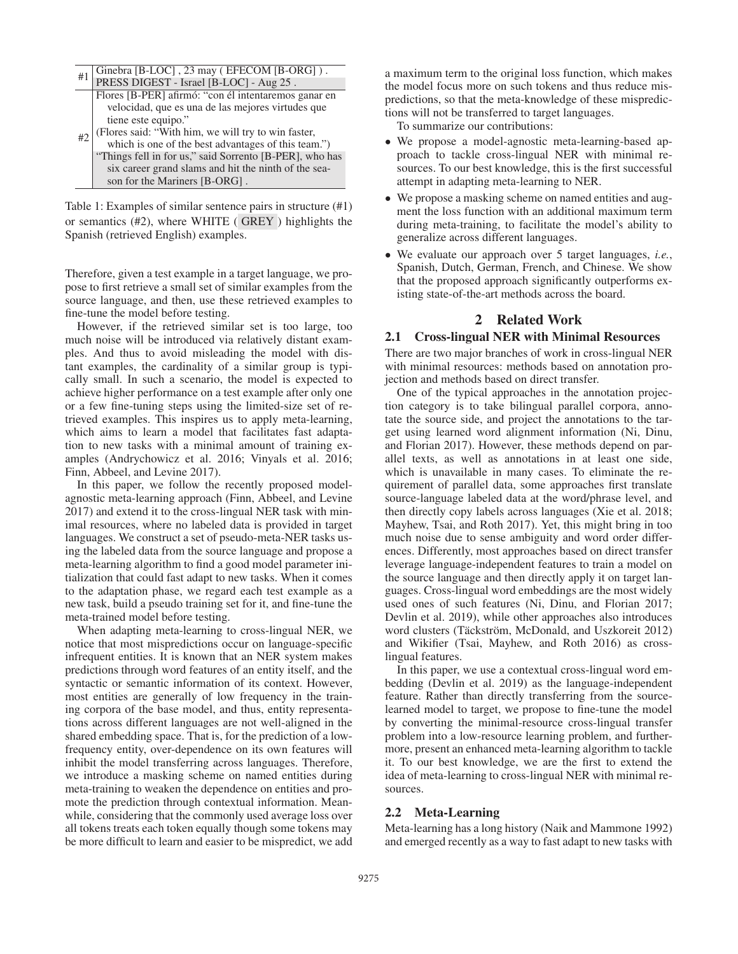| #1 | Ginebra [B-LOC], 23 may (EFECOM [B-ORG]).<br>PRESS DIGEST - Israel [B-LOC] - Aug 25. |
|----|--------------------------------------------------------------------------------------|
|    |                                                                                      |
|    | Flores [B-PER] afirmó: "con él intentaremos ganar en                                 |
|    | velocidad, que es una de las mejores virtudes que                                    |
|    | tiene este equipo."                                                                  |
| #2 | (Flores said: "With him, we will try to win faster,                                  |
|    | which is one of the best advantages of this team.")                                  |
|    | "Things fell in for us," said Sorrento [B-PER], who has                              |
|    | six career grand slams and hit the ninth of the sea-                                 |
|    | son for the Mariners [B-ORG].                                                        |

Table 1: Examples of similar sentence pairs in structure (#1) or semantics (#2), where WHITE ( GREY ) highlights the Spanish (retrieved English) examples.

Therefore, given a test example in a target language, we propose to first retrieve a small set of similar examples from the source language, and then, use these retrieved examples to fine-tune the model before testing.

However, if the retrieved similar set is too large, too much noise will be introduced via relatively distant examples. And thus to avoid misleading the model with distant examples, the cardinality of a similar group is typically small. In such a scenario, the model is expected to achieve higher performance on a test example after only one or a few fine-tuning steps using the limited-size set of retrieved examples. This inspires us to apply meta-learning, which aims to learn a model that facilitates fast adaptation to new tasks with a minimal amount of training examples (Andrychowicz et al. 2016; Vinyals et al. 2016; Finn, Abbeel, and Levine 2017).

In this paper, we follow the recently proposed modelagnostic meta-learning approach (Finn, Abbeel, and Levine 2017) and extend it to the cross-lingual NER task with minimal resources, where no labeled data is provided in target languages. We construct a set of pseudo-meta-NER tasks using the labeled data from the source language and propose a meta-learning algorithm to find a good model parameter initialization that could fast adapt to new tasks. When it comes to the adaptation phase, we regard each test example as a new task, build a pseudo training set for it, and fine-tune the meta-trained model before testing.

When adapting meta-learning to cross-lingual NER, we notice that most mispredictions occur on language-specific infrequent entities. It is known that an NER system makes predictions through word features of an entity itself, and the syntactic or semantic information of its context. However, most entities are generally of low frequency in the training corpora of the base model, and thus, entity representations across different languages are not well-aligned in the shared embedding space. That is, for the prediction of a lowfrequency entity, over-dependence on its own features will inhibit the model transferring across languages. Therefore, we introduce a masking scheme on named entities during meta-training to weaken the dependence on entities and promote the prediction through contextual information. Meanwhile, considering that the commonly used average loss over all tokens treats each token equally though some tokens may be more difficult to learn and easier to be mispredict, we add

a maximum term to the original loss function, which makes the model focus more on such tokens and thus reduce mispredictions, so that the meta-knowledge of these mispredictions will not be transferred to target languages.

To summarize our contributions:

- We propose a model-agnostic meta-learning-based approach to tackle cross-lingual NER with minimal resources. To our best knowledge, this is the first successful attempt in adapting meta-learning to NER.
- We propose a masking scheme on named entities and augment the loss function with an additional maximum term during meta-training, to facilitate the model's ability to generalize across different languages.
- We evaluate our approach over 5 target languages, *i.e.*, Spanish, Dutch, German, French, and Chinese. We show that the proposed approach significantly outperforms existing state-of-the-art methods across the board.

# 2 Related Work

### 2.1 Cross-lingual NER with Minimal Resources

There are two major branches of work in cross-lingual NER with minimal resources: methods based on annotation projection and methods based on direct transfer.

One of the typical approaches in the annotation projection category is to take bilingual parallel corpora, annotate the source side, and project the annotations to the target using learned word alignment information (Ni, Dinu, and Florian 2017). However, these methods depend on parallel texts, as well as annotations in at least one side, which is unavailable in many cases. To eliminate the requirement of parallel data, some approaches first translate source-language labeled data at the word/phrase level, and then directly copy labels across languages (Xie et al. 2018; Mayhew, Tsai, and Roth 2017). Yet, this might bring in too much noise due to sense ambiguity and word order differences. Differently, most approaches based on direct transfer leverage language-independent features to train a model on the source language and then directly apply it on target languages. Cross-lingual word embeddings are the most widely used ones of such features (Ni, Dinu, and Florian 2017; Devlin et al. 2019), while other approaches also introduces word clusters (Täckström, McDonald, and Uszkoreit 2012) and Wikifier (Tsai, Mayhew, and Roth 2016) as crosslingual features.

In this paper, we use a contextual cross-lingual word embedding (Devlin et al. 2019) as the language-independent feature. Rather than directly transferring from the sourcelearned model to target, we propose to fine-tune the model by converting the minimal-resource cross-lingual transfer problem into a low-resource learning problem, and furthermore, present an enhanced meta-learning algorithm to tackle it. To our best knowledge, we are the first to extend the idea of meta-learning to cross-lingual NER with minimal resources.

#### 2.2 Meta-Learning

Meta-learning has a long history (Naik and Mammone 1992) and emerged recently as a way to fast adapt to new tasks with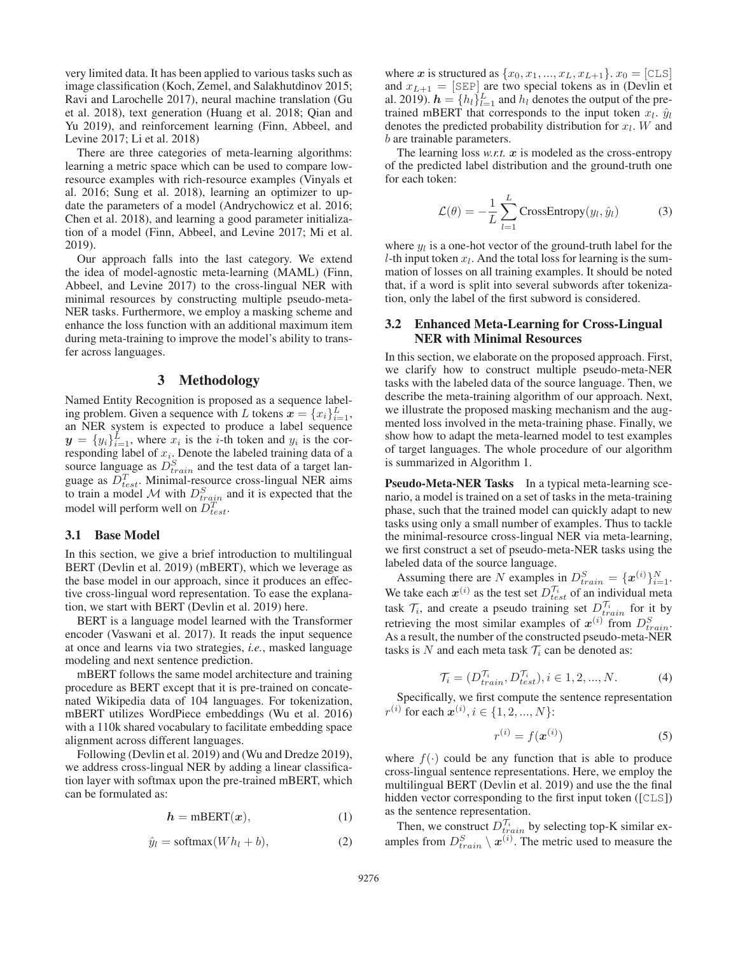very limited data. It has been applied to various tasks such as image classification (Koch, Zemel, and Salakhutdinov 2015; Ravi and Larochelle 2017), neural machine translation (Gu et al. 2018), text generation (Huang et al. 2018; Qian and Yu 2019), and reinforcement learning (Finn, Abbeel, and Levine 2017; Li et al. 2018)

There are three categories of meta-learning algorithms: learning a metric space which can be used to compare lowresource examples with rich-resource examples (Vinyals et al. 2016; Sung et al. 2018), learning an optimizer to update the parameters of a model (Andrychowicz et al. 2016; Chen et al. 2018), and learning a good parameter initialization of a model (Finn, Abbeel, and Levine 2017; Mi et al. 2019).

Our approach falls into the last category. We extend the idea of model-agnostic meta-learning (MAML) (Finn, Abbeel, and Levine 2017) to the cross-lingual NER with minimal resources by constructing multiple pseudo-meta-NER tasks. Furthermore, we employ a masking scheme and enhance the loss function with an additional maximum item during meta-training to improve the model's ability to transfer across languages.

#### 3 Methodology

Named Entity Recognition is proposed as a sequence labeling problem. Given a sequence with L tokens  $\mathbf{x} = \{x_i\}_{i=1}^L$ , an NER system is expected to produce a label sequence an NER system is expected to produce a label sequence  $y = \{y_i\}_{i=1}^L$ , where  $x_i$  is the *i*-th token and  $y_i$  is the corresponding label of  $x_i$ . Denote the labeled training data of a responding label of  $x_i$ . Denote the labeled training data of a source language as  $D^S$  and the test data of a target lansource language as  $D_{train}^S$  and the test data of a target lan-<br>quage as  $D^T$ . Minimal-resource cross-lingual NER aims guage as  $D_{test}^T$ . Minimal-resource cross-lingual NER aims<br>to train a model M with  $D_2^S$  and it is expected that the to train a model M with  $D_{train}^S$  and it is expected that the model will perform well on  $D^T$ model will perform well on  $D_{test}^T$ .

# 3.1 Base Model

In this section, we give a brief introduction to multilingual BERT (Devlin et al. 2019) (mBERT), which we leverage as the base model in our approach, since it produces an effective cross-lingual word representation. To ease the explanation, we start with BERT (Devlin et al. 2019) here.

BERT is a language model learned with the Transformer encoder (Vaswani et al. 2017). It reads the input sequence at once and learns via two strategies, *i.e.*, masked language modeling and next sentence prediction.

mBERT follows the same model architecture and training procedure as BERT except that it is pre-trained on concatenated Wikipedia data of 104 languages. For tokenization, mBERT utilizes WordPiece embeddings (Wu et al. 2016) with a 110k shared vocabulary to facilitate embedding space alignment across different languages.

Following (Devlin et al. 2019) and (Wu and Dredze 2019), we address cross-lingual NER by adding a linear classification layer with softmax upon the pre-trained mBERT, which can be formulated as:

$$
h = \text{mBERT}(x),\tag{1}
$$

$$
\hat{y}_l = \text{softmax}(Wh_l + b),\tag{2}
$$

where *x* is structured as  $\{x_0, x_1, ..., x_L, x_{L+1}\}\text{. } x_0 = [\text{CLS}]$ and  $x_{L+1} =$  [SEP] are two special tokens as in (Devlin et al. 2019).  $h = \{h_l\}_{l=1}^{L}$  and  $h_l$  denotes the output of the pre-<br>trained mBERT that corresponds to the input token  $x_l$ ,  $\hat{u}_l$ trained mBERT that corresponds to the input token  $x_l$ .  $\hat{y}_l$ denotes the predicted probability distribution for  $x_l$ . W and b are trainable parameters.

The learning loss *w.r.t. x* is modeled as the cross-entropy of the predicted label distribution and the ground-truth one for each token:

$$
\mathcal{L}(\theta) = -\frac{1}{L} \sum_{l=1}^{L} \text{CrossEntropy}(y_l, \hat{y}_l)
$$
 (3)

where  $y_l$  is a one-hot vector of the ground-truth label for the l-th input token  $x_l$ . And the total loss for learning is the summation of losses on all training examples. It should be noted that, if a word is split into several subwords after tokenization, only the label of the first subword is considered.

# 3.2 Enhanced Meta-Learning for Cross-Lingual NER with Minimal Resources

In this section, we elaborate on the proposed approach. First, we clarify how to construct multiple pseudo-meta-NER tasks with the labeled data of the source language. Then, we describe the meta-training algorithm of our approach. Next, we illustrate the proposed masking mechanism and the augmented loss involved in the meta-training phase. Finally, we show how to adapt the meta-learned model to test examples of target languages. The whole procedure of our algorithm is summarized in Algorithm 1.

Pseudo-Meta-NER Tasks In a typical meta-learning scenario, a model is trained on a set of tasks in the meta-training phase, such that the trained model can quickly adapt to new tasks using only a small number of examples. Thus to tackle the minimal-resource cross-lingual NER via meta-learning, we first construct a set of pseudo-meta-NER tasks using the labeled data of the source language.

Assuming there are N examples in  $D_{train}^S = \{x^{(i)}\}_{i=1}^N$ .<br>A take each  $x^{(i)}$  as the test set  $D_i^T$ , of an individual mate We take each  $x^{(i)}$  as the test set  $D_{test}^{T_i}$  of an individual meta task  $\mathcal{T}_i$ , and create a pseudo training set  $D_{train}^{\mathcal{T}_i}$  for it by retrieving the most similar examples of  $x^{(i)}$  from  $D^S$ retrieving the most similar examples of  $x^{(i)}$  from  $D_{train}^S$ .<br>As a result, the number of the constructed pseudo-meta-NER As a result, the number of the constructed pseudo-meta-NER tasks is N and each meta task  $\mathcal{T}_i$  can be denoted as:

$$
\mathcal{T}_i = (D_{train}^{\mathcal{T}_i}, D_{test}^{\mathcal{T}_i}), i \in 1, 2, ..., N.
$$
\n(4)

Specifically, we first compute the sentence representation  $r^{(i)}$  for each  $x^{(i)}$ ,  $i \in \{1, 2, ..., N\}$ :

$$
r^{(i)} = f(\boldsymbol{x}^{(i)})
$$
\n<sup>(5)</sup>

where  $f(\cdot)$  could be any function that is able to produce cross-lingual sentence representations. Here, we employ the multilingual BERT (Devlin et al. 2019) and use the the final hidden vector corresponding to the first input token ([CLS]) as the sentence representation.

Then, we construct  $D_{train}^{T_i}$  by selecting top-K similar ex-<br>the from  $D^S \longrightarrow \mathcal{L}^{(i)}$ . The metric used to measure the amples from  $D_{train}^S \setminus \boldsymbol{x}^{(i)}$ . The metric used to measure the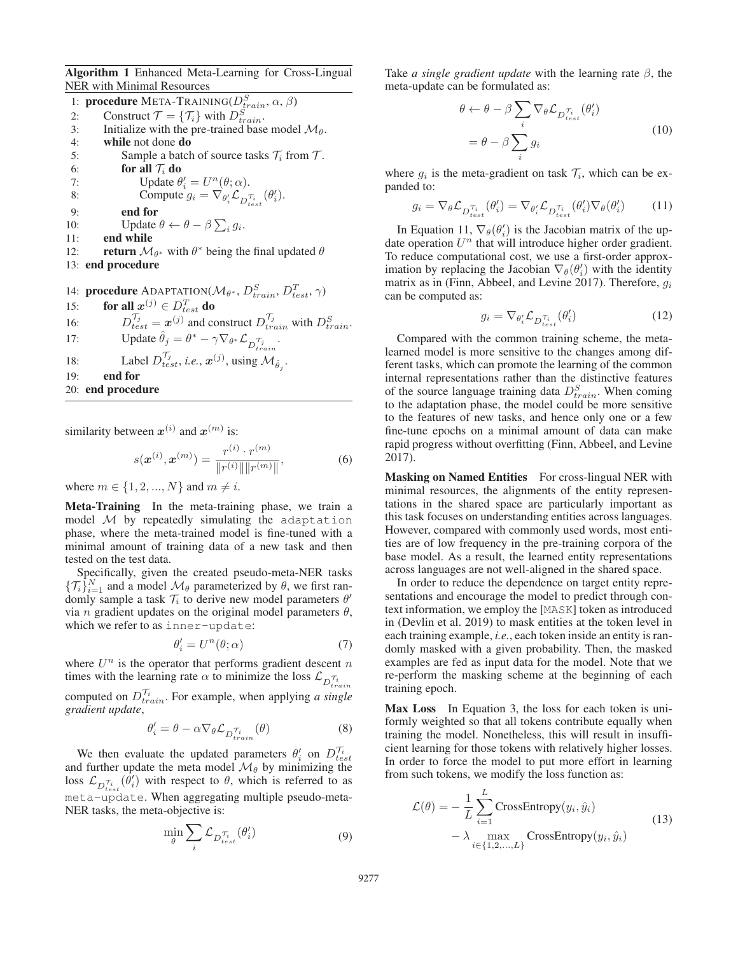Algorithm 1 Enhanced Meta-Learning for Cross-Lingual NER with Minimal Resources

1: **procedure** META-TRAINING( $D_{train}^S$ ,  $\alpha$ ,  $\beta$ )<br>2. Construct  $\mathcal{T} = \{ \mathcal{T} \}$  with  $D^S$ 2: Construct  $\mathcal{T} = {\mathcal{T}_i}$  with  $D_{train}^S$ .<br>3. Initialize with the pre-trained base 3: Initialize with the pre-trained base model  $\mathcal{M}_{\theta}$ . 4: while not done do 5: Sample a batch of source tasks  $\mathcal{T}_i$  from  $\mathcal{T}_i$ . 6: for all  $\mathcal{T}_i$  do 7: Update  $\theta'_i = U^n(\theta; \alpha)$ .<br>
Sompute  $\theta_i = \nabla_{\theta'} \mathcal{L}_{\alpha}$ . 8: Compute  $g_i = \nabla_{\theta_i'} \mathcal{L}_{D_{test}^{\tau_i}}(\theta_i').$ 9: end for 10: Update  $\theta \leftarrow \theta - \beta \sum_i g_i$ .<br>11: **end while** 11: end while 12: **return**  $\mathcal{M}_{\theta^*}$  with  $\theta^*$  being the final updated  $\theta$ <br>13: **end procedure** end procedure 14: **procedure** ADAPTATION( $\mathcal{M}_{\theta^*}$ ,  $D_{train}^S$ ,  $D_{test}^T$ ,  $\gamma$ )<br>15: **for all**  $x^{(j)} \in D^T$  **do** 15: **for all**  $x^{(j)} \in D_{test}^T$  **do**<br>16:  $D^{T_j}$   $x^{(j)}$  and a 16:  $D_{test}^{T_j} = \boldsymbol{x}^{(j)}$  and construct  $D_{train}^{T_j}$  with  $D_{train}^{S}$ .

17: Update 
$$
\hat{\theta}_j = \theta^* - \gamma \nabla_{\theta^*} \mathcal{L}_{D_{train}^{T_j}}
$$

- 18: Label  $D_{test}^{T_j}$ , *i.e.*,  $\mathbf{x}^{(j)}$ , using  $\mathcal{M}_{\hat{\theta}_j}$ .
- 19: end for

20: end procedure

similarity between  $x^{(i)}$  and  $x^{(m)}$  is:

$$
s(\mathbf{x}^{(i)}, \mathbf{x}^{(m)}) = \frac{r^{(i)} \cdot r^{(m)}}{\|r^{(i)}\| \|r^{(m)}\|},\tag{6}
$$

where  $m \in \{1, 2, ..., N\}$  and  $m \neq i$ .

Meta-Training In the meta-training phase, we train a model  $M$  by repeatedly simulating the adaptation phase, where the meta-trained model is fine-tuned with a minimal amount of training data of a new task and then tested on the test data.

Specifically, given the created pseudo-meta-NER tasks  $\{\mathcal{T}_i\}_{i=1}^N$  and a model  $\mathcal{M}_{\theta}$  parameterized by  $\theta$ , we first ran-<br>domly sample a task  $\mathcal{T}_i$  to derive new model parameters  $\theta'$ domly sample a task  $\mathcal{T}_i$  to derive new model parameters  $\theta'$ -<br>via *n* gradient undates on the original model parameters  $\theta$ via *n* gradient updates on the original model parameters  $\theta$ , which we refer to as inner-update:

$$
\theta_i' = U^n(\theta; \alpha) \tag{7}
$$

where  $U^n$  is the operator that performs gradient descent n<br>times with the learning rate  $\alpha$  to minimize the loss  $\hat{U}$ ,  $\tau$ . times with the learning rate  $\alpha$  to minimize the loss  $\mathcal{L}_{D_{train}^{\tau_i}}$ 

computed on  $D_{train}^{T_i}$ . For example, when applying *a single* eradient undate *gradient update*,

$$
\theta_i' = \theta - \alpha \nabla_{\theta} \mathcal{L}_{D_{train}^{\mathcal{T}_i}}(\theta)
$$
\n(8)

We then evaluate the updated parameters  $\theta_i$  on  $D_{test}^{T_i}$ <br>d further update the meta model  $\mathcal{M}_o$  by minimizing the and further update the meta model  $\mathcal{M}_{\theta}$  by minimizing the loss  $\mathcal{L}_{D_{test}^{\tau_i}}(\theta_i)$  with respect to  $\theta$ , which is referred to as  $\frac{D_{test}}{D_{test}}$  of the aggregating multiple pseudo-meta-NER tasks, the meta-objective is:

$$
\min_{\theta} \sum_{i} \mathcal{L}_{D_{test}^{\tau_i}}(\theta_i') \tag{9}
$$

Take *a single gradient update* with the learning rate β, the meta-update can be formulated as:

$$
\theta \leftarrow \theta - \beta \sum_{i} \nabla_{\theta} \mathcal{L}_{D_{test}^{\tau_i}}(\theta_i')
$$
  
=  $\theta - \beta \sum_{i} g_i$  (10)

where  $g_i$  is the meta-gradient on task  $\mathcal{T}_i$ , which can be expanded to:

$$
g_i = \nabla_{\theta} \mathcal{L}_{D_{test}^{\tau_i}}(\theta_i') = \nabla_{\theta_i'} \mathcal{L}_{D_{test}^{\tau_i}}(\theta_i') \nabla_{\theta}(\theta_i')
$$
(11)

In Equation 11,  $\nabla_{\theta}(\theta_i')$  is the Jacobian matrix of the up-<br>te operation  $U^n$  that will introduce higher order gradient date operation  $U^n$  that will introduce higher order gradient. To reduce computational cost, we use a first-order approximation by replacing the Jacobian  $\nabla_{\theta}(\theta_i)$  with the identity matrix as in (Finn–Abbeel, and Levine 2017). Therefore, a. matrix as in (Finn, Abbeel, and Levine 2017). Therefore,  $q_i$ can be computed as:

$$
g_i = \nabla_{\theta_i'} \mathcal{L}_{D_{test}^{\tau_i}}(\theta_i')
$$
 (12)

Compared with the common training scheme, the metalearned model is more sensitive to the changes among different tasks, which can promote the learning of the common internal representations rather than the distinctive features of the source language training data  $D_{train}^S$ . When coming to the adaptation phase the model could be more sensitive to the adaptation phase, the model could be more sensitive to the features of new tasks, and hence only one or a few fine-tune epochs on a minimal amount of data can make rapid progress without overfitting (Finn, Abbeel, and Levine 2017).

Masking on Named Entities For cross-lingual NER with minimal resources, the alignments of the entity representations in the shared space are particularly important as this task focuses on understanding entities across languages. However, compared with commonly used words, most entities are of low frequency in the pre-training corpora of the base model. As a result, the learned entity representations across languages are not well-aligned in the shared space.

In order to reduce the dependence on target entity representations and encourage the model to predict through context information, we employ the [MASK] token as introduced in (Devlin et al. 2019) to mask entities at the token level in each training example, *i.e.*, each token inside an entity is randomly masked with a given probability. Then, the masked examples are fed as input data for the model. Note that we re-perform the masking scheme at the beginning of each training epoch.

Max Loss In Equation 3, the loss for each token is uniformly weighted so that all tokens contribute equally when training the model. Nonetheless, this will result in insufficient learning for those tokens with relatively higher losses. In order to force the model to put more effort in learning from such tokens, we modify the loss function as:

$$
\mathcal{L}(\theta) = -\frac{1}{L} \sum_{i=1}^{L} \text{CrossEntropy}(y_i, \hat{y}_i)
$$

$$
- \lambda \max_{i \in \{1, 2, ..., L\}} \text{CrossEntropy}(y_i, \hat{y}_i)
$$
(13)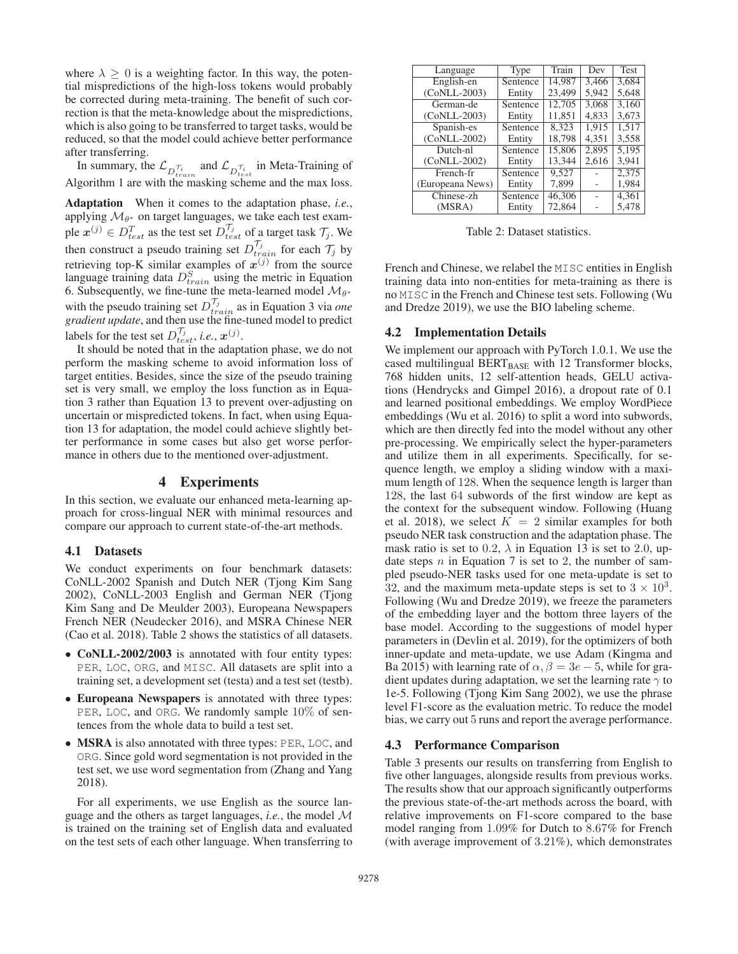where  $\lambda \geq 0$  is a weighting factor. In this way, the potential mispredictions of the high-loss tokens would probably be corrected during meta-training. The benefit of such correction is that the meta-knowledge about the mispredictions, which is also going to be transferred to target tasks, would be reduced, so that the model could achieve better performance after transferring.

In summary, the  $\mathcal{L}_{D_{train}^{\tau_i}}$  and  $\mathcal{L}_{D_{test}^{\tau_i}}$  in Meta-Training of Algorithm 1 are with the masking scheme and the max loss.

Adaptation When it comes to the adaptation phase, *i.e.*, applying  $\mathcal{M}_{\theta^*}$  on target languages, we take each test example  $x^{(j)} \in D_{test}^T$  as the test set  $D_{test}^{\mathcal{T}_j}$  of a target task  $\mathcal{T}_j$ . We then construct a pseudo training set  $D_{train}^{T_j}$  for each  $T_j$  by ratriaving ton K similar examples of  $\mathcal{R}_i^{(i)}$  from the source retrieving top-K similar examples of  $x^{(j)}$  from the source language training data  $D_{train}^S$  using the metric in Equation<br>6. Subsequently we fine-tune the meta-learned model  $M_{0*}$ 6. Subsequently, we fine-tune the meta-learned model  $\mathcal{M}_{\theta^*}$ with the pseudo training set  $D_{train}^{T_j}$  as in Equation 3 via *one oradient undate* and then use the fine-tuned model to predict *gradient update*, and then use the fine-tuned model to predict labels for the test set  $D_{test}^{T_j}$ , *i.e.*,  $x^{(j)}$ .<br>It should be noted that in the adapt

It should be noted that in the adaptation phase, we do not perform the masking scheme to avoid information loss of target entities. Besides, since the size of the pseudo training set is very small, we employ the loss function as in Equation 3 rather than Equation 13 to prevent over-adjusting on uncertain or mispredicted tokens. In fact, when using Equation 13 for adaptation, the model could achieve slightly better performance in some cases but also get worse performance in others due to the mentioned over-adjustment.

# 4 Experiments

In this section, we evaluate our enhanced meta-learning approach for cross-lingual NER with minimal resources and compare our approach to current state-of-the-art methods.

#### 4.1 Datasets

We conduct experiments on four benchmark datasets: CoNLL-2002 Spanish and Dutch NER (Tjong Kim Sang 2002), CoNLL-2003 English and German NER (Tjong Kim Sang and De Meulder 2003), Europeana Newspapers French NER (Neudecker 2016), and MSRA Chinese NER (Cao et al. 2018). Table 2 shows the statistics of all datasets.

- CoNLL-2002/2003 is annotated with four entity types: PER, LOC, ORG, and MISC. All datasets are split into a training set, a development set (testa) and a test set (testb).
- Europeana Newspapers is annotated with three types: PER, LOC, and ORG. We randomly sample 10% of sentences from the whole data to build a test set.
- **MSRA** is also annotated with three types: PER, LOC, and ORG. Since gold word segmentation is not provided in the test set, we use word segmentation from (Zhang and Yang 2018).

For all experiments, we use English as the source language and the others as target languages, *i.e.*, the model M is trained on the training set of English data and evaluated on the test sets of each other language. When transferring to

| Language         | Type     | Train  | Dev   | Test  |
|------------------|----------|--------|-------|-------|
| English-en       | Sentence | 14.987 | 3.466 | 3,684 |
| $(CoNLL-2003)$   | Entity   | 23.499 | 5.942 | 5,648 |
| German-de        | Sentence | 12,705 | 3.068 | 3.160 |
| $(CoNLL-2003)$   | Entity   | 11,851 | 4.833 | 3,673 |
| Spanish-es       | Sentence | 8.323  | 1.915 | 1,517 |
| (CoNLL-2002)     | Entity   | 18,798 | 4.351 | 3,558 |
| Dutch-nl         | Sentence | 15,806 | 2.895 | 5.195 |
| $(CoNLL-2002)$   | Entity   | 13.344 | 2,616 | 3,941 |
| French-fr        | Sentence | 9,527  |       | 2,375 |
| (Europeana News) | Entity   | 7,899  |       | 1,984 |
| Chinese-zh       | Sentence | 46,306 |       | 4,361 |
| (MSRA)           | Entity   | 72,864 |       | 5.478 |

Table 2: Dataset statistics.

French and Chinese, we relabel the MISC entities in English training data into non-entities for meta-training as there is no MISC in the French and Chinese test sets. Following (Wu and Dredze 2019), we use the BIO labeling scheme.

#### 4.2 Implementation Details

We implement our approach with PyTorch 1.0.1. We use the cased multilingual  $BERT_{BASE}$  with 12 Transformer blocks, 768 hidden units, 12 self-attention heads, GELU activations (Hendrycks and Gimpel 2016), a dropout rate of 0.1 and learned positional embeddings. We employ WordPiece embeddings (Wu et al. 2016) to split a word into subwords, which are then directly fed into the model without any other pre-processing. We empirically select the hyper-parameters and utilize them in all experiments. Specifically, for sequence length, we employ a sliding window with a maximum length of 128. When the sequence length is larger than 128, the last 64 subwords of the first window are kept as the context for the subsequent window. Following (Huang et al. 2018), we select  $K = 2$  similar examples for both pseudo NER task construction and the adaptation phase. The mask ratio is set to 0.2,  $\lambda$  in Equation 13 is set to 2.0, update steps  $n$  in Equation 7 is set to 2, the number of sampled pseudo-NER tasks used for one meta-update is set to 32, and the maximum meta-update steps is set to  $3 \times 10^3$ . Following (Wu and Dredze 2019), we freeze the parameters of the embedding layer and the bottom three layers of the base model. According to the suggestions of model hyper parameters in (Devlin et al. 2019), for the optimizers of both inner-update and meta-update, we use Adam (Kingma and Ba 2015) with learning rate of  $\alpha$ ,  $\beta = 3e - 5$ , while for gradient updates during adaptation, we set the learning rate  $\gamma$  to 1e-5. Following (Tjong Kim Sang 2002), we use the phrase level F1-score as the evaluation metric. To reduce the model bias, we carry out 5 runs and report the average performance.

#### 4.3 Performance Comparison

Table 3 presents our results on transferring from English to five other languages, alongside results from previous works. The results show that our approach significantly outperforms the previous state-of-the-art methods across the board, with relative improvements on F1-score compared to the base model ranging from <sup>1</sup>.09% for Dutch to <sup>8</sup>.67% for French (with average improvement of <sup>3</sup>.21%), which demonstrates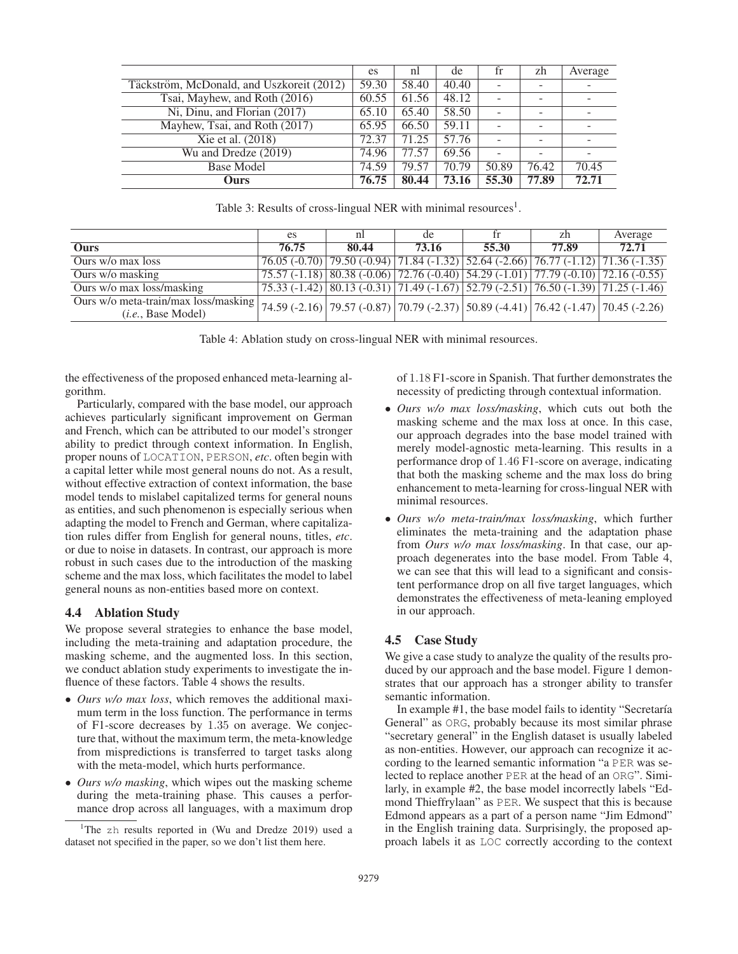|                                           | es    | nl    | de    | tr    | zh    | Average |
|-------------------------------------------|-------|-------|-------|-------|-------|---------|
| Täckström, McDonald, and Uszkoreit (2012) | 59.30 | 58.40 | 40.40 |       |       |         |
| Tsai, Mayhew, and Roth (2016)             | 60.55 | 61.56 | 48.12 |       |       |         |
| Ni, Dinu, and Florian (2017)              | 65.10 | 65.40 | 58.50 |       |       |         |
| Mayhew, Tsai, and Roth (2017)             | 65.95 | 66.50 | 59.11 |       |       |         |
| Xie et al. (2018)                         | 72.37 | 71.25 | 57.76 |       |       |         |
| Wu and Dredze (2019)                      | 74.96 | 77.57 | 69.56 |       |       |         |
| <b>Base Model</b>                         | 74.59 | 79.57 | 70.79 | 50.89 | 76.42 | 70.45   |
| Ours                                      | 76.75 | 80.44 | 73.16 | 55.30 | 77.89 | 72.71   |

Table 3: Results of cross-lingual NER with minimal resources<sup>1</sup>.

|                                                                                                                                                | es    | nl    | de    | tr                                                                                                                                     | zh    | Average |
|------------------------------------------------------------------------------------------------------------------------------------------------|-------|-------|-------|----------------------------------------------------------------------------------------------------------------------------------------|-------|---------|
| Ours                                                                                                                                           | 76.75 | 80.44 | 73.16 | 55.30                                                                                                                                  | 77.89 | 72.71   |
| Ours w/o max loss                                                                                                                              |       |       |       | $76.05 (-0.70)$ $79.50 (-0.94)$ $71.84 (-1.32)$ $52.64 (-2.66)$ $76.77 (-1.12)$ $71.36 (-1.35)$                                        |       |         |
| Ours w/o masking                                                                                                                               |       |       |       | $\left[ 75.57 (-1.18) \right]$ 80.38 (-0.06) $\left[ 72.76 (-0.40) \right]$ 54.29 (-1.01) $\left[ 77.79 (-0.10) \right]$ 72.16 (-0.55) |       |         |
| Ours w/o max loss/masking                                                                                                                      |       |       |       | $\left[ 75.33 (-1.42) (80.13 (-0.31) (71.49 (-1.67) (52.79 (-2.51) (76.50 (-1.39) (71.25 (-1.46)$                                      |       |         |
| Ours w/o meta-train/max loss/masking 74.59 (-2.16) 79.57 (-0.87) 70.79 (-2.37) 50.89 (-4.41) 76.42 (-1.47) 70.45 (-2.26)<br>(i.e., Base Model) |       |       |       |                                                                                                                                        |       |         |

Table 4: Ablation study on cross-lingual NER with minimal resources.

the effectiveness of the proposed enhanced meta-learning algorithm.

Particularly, compared with the base model, our approach achieves particularly significant improvement on German and French, which can be attributed to our model's stronger ability to predict through context information. In English, proper nouns of LOCATION, PERSON, *etc*. often begin with a capital letter while most general nouns do not. As a result, without effective extraction of context information, the base model tends to mislabel capitalized terms for general nouns as entities, and such phenomenon is especially serious when adapting the model to French and German, where capitalization rules differ from English for general nouns, titles, *etc*. or due to noise in datasets. In contrast, our approach is more robust in such cases due to the introduction of the masking scheme and the max loss, which facilitates the model to label general nouns as non-entities based more on context.

# 4.4 Ablation Study

We propose several strategies to enhance the base model, including the meta-training and adaptation procedure, the masking scheme, and the augmented loss. In this section, we conduct ablation study experiments to investigate the influence of these factors. Table 4 shows the results.

- *Ours w/o max loss*, which removes the additional maximum term in the loss function. The performance in terms of F1-score decreases by <sup>1</sup>.<sup>35</sup> on average. We conjecture that, without the maximum term, the meta-knowledge from mispredictions is transferred to target tasks along with the meta-model, which hurts performance.
- *Ours w/o masking*, which wipes out the masking scheme during the meta-training phase. This causes a performance drop across all languages, with a maximum drop

of <sup>1</sup>.<sup>18</sup> F1-score in Spanish. That further demonstrates the necessity of predicting through contextual information.

- *Ours w/o max loss/masking*, which cuts out both the masking scheme and the max loss at once. In this case, our approach degrades into the base model trained with merely model-agnostic meta-learning. This results in a performance drop of <sup>1</sup>.<sup>46</sup> F1-score on average, indicating that both the masking scheme and the max loss do bring enhancement to meta-learning for cross-lingual NER with minimal resources.
- *Ours w/o meta-train/max loss/masking*, which further eliminates the meta-training and the adaptation phase from *Ours w/o max loss/masking*. In that case, our approach degenerates into the base model. From Table 4, we can see that this will lead to a significant and consistent performance drop on all five target languages, which demonstrates the effectiveness of meta-leaning employed in our approach.

# 4.5 Case Study

We give a case study to analyze the quality of the results produced by our approach and the base model. Figure 1 demonstrates that our approach has a stronger ability to transfer semantic information.

In example #1, the base model fails to identity "Secretaría" General" as ORG, probably because its most similar phrase "secretary general" in the English dataset is usually labeled as non-entities. However, our approach can recognize it according to the learned semantic information "a PER was selected to replace another PER at the head of an ORG". Similarly, in example #2, the base model incorrectly labels "Edmond Thieffrylaan" as PER. We suspect that this is because Edmond appears as a part of a person name "Jim Edmond" in the English training data. Surprisingly, the proposed approach labels it as LOC correctly according to the context

<sup>&</sup>lt;sup>1</sup>The zh results reported in (Wu and Dredze 2019) used a dataset not specified in the paper, so we don't list them here.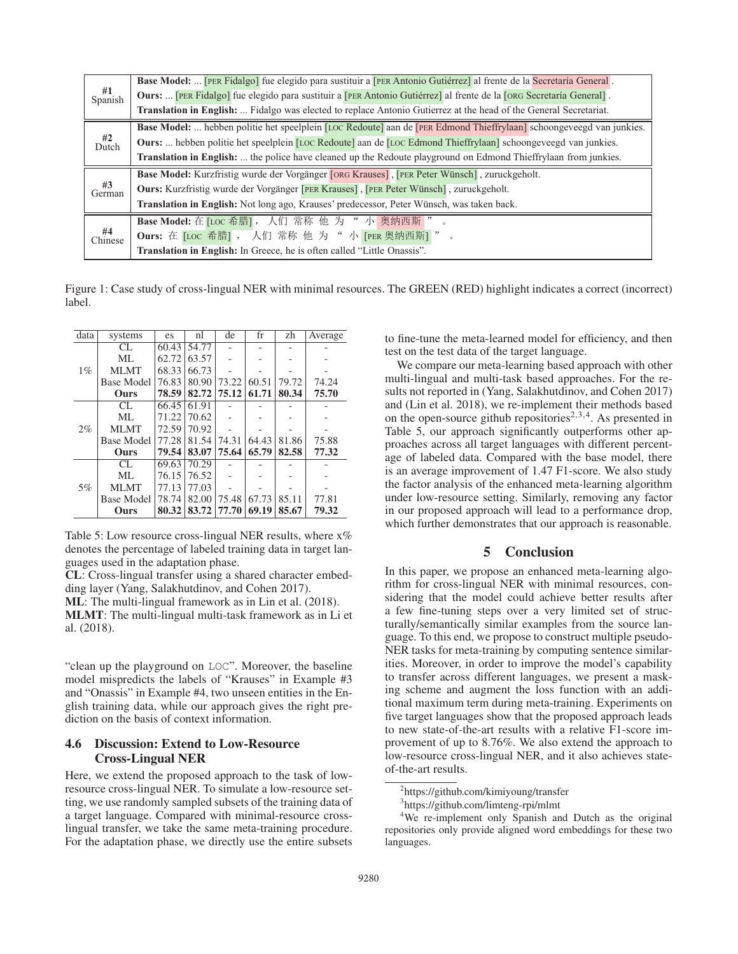|                              | Base Model:  [PER Fidalgo] fue elegido para sustituir a [PER Antonio Gutiérrez] al frente de la Secretaría General.               |
|------------------------------|-----------------------------------------------------------------------------------------------------------------------------------|
| $#1$<br>Spanish              | Ours:  [PER Fidalgo] fue elegido para sustituir a [PER Antonio Gutiérrez] al frente de la [ORG Secretaría General].               |
|                              | Translation in English:  Fidalgo was elected to replace Antonio Gutierrez at the head of the General Secretariat.                 |
|                              | <b>Base Model:</b> hebben politie het speelplein [LOC Redoute] aan de <b>[PER Edmond Thieffrylaan]</b> schoongeveegd van junkies. |
| $#2$<br>Dutch                | Ours:  hebben politie het speelplein [LOC Redoute] aan de [LOC Edmond Thieffrylaan] schoongeveegd van junkies.                    |
|                              | Translation in English:  the police have cleaned up the Redoute playground on Edmond Thieffrylaan from junkies.                   |
|                              | Base Model: Kurzfristig wurde der Vorgänger [ORG Krauses], [PER Peter Wünsch], zuruckgeholt.                                      |
| #3<br>German                 | <b>Ours:</b> Kurzfristig wurde der Vorgänger [PER Krauses], [PER Peter Wünsch], zuruckgeholt.                                     |
|                              | Translation in English: Not long ago, Krauses' predecessor, Peter Wünsch, was taken back.                                         |
|                              | Base Model: 在 [LOC 希腊], 人们 常称 他 为 " 小 奥纳西斯 "                                                                                      |
| $\frac{\#4}{\text{Chinese}}$ | Ours: 在 [LOC 希腊], 人们 常称 他 为 " 小 [PER 奥纳西斯]"                                                                                       |
|                              | Translation in English: In Greece, he is often called "Little Onassis".                                                           |

Figure 1: Case study of cross-lingual NER with minimal resources. The GREEN (RED) highlight indicates a correct (incorrect) label.

| data  | systems           | es    | nl    | de    | fr    | zh    | Average |
|-------|-------------------|-------|-------|-------|-------|-------|---------|
| $1\%$ | CL.               | 60.43 | 54.77 |       |       |       |         |
|       | ML                | 62.72 | 63.57 |       |       |       |         |
|       | <b>MLMT</b>       | 68.33 | 66.73 |       |       |       |         |
|       | <b>Base Model</b> | 76.83 | 80.90 | 73.22 | 60.51 | 79.72 | 74.24   |
|       | Ours              | 78.59 | 82.72 | 75.12 | 61.71 | 80.34 | 75.70   |
|       | CL.               | 66.45 | 61.91 |       |       |       |         |
|       | ML                | 71.22 | 70.62 |       |       |       |         |
| 2%    | <b>MLMT</b>       | 72.59 | 70.92 |       |       |       |         |
|       | <b>Base Model</b> | 77.28 | 81.54 | 74.31 | 64.43 | 81.86 | 75.88   |
|       | Ours              | 79.54 | 83.07 | 75.64 | 65.79 | 82.58 | 77.32   |
| 5%    | CL.               | 69.63 | 70.29 |       |       |       |         |
|       | ML                | 76.15 | 76.52 |       |       |       |         |
|       | <b>MLMT</b>       | 77.13 | 77.03 |       |       |       |         |
|       | <b>Base Model</b> | 78.74 | 82.00 | 75.48 | 67.73 | 85.11 | 77.81   |
|       | Ours              | 80.32 | 83.72 | 77.70 | 69.19 | 85.67 | 79.32   |

Table 5: Low resource cross-lingual NER results, where  $x\%$ denotes the percentage of labeled training data in target languages used in the adaptation phase.

CL: Cross-lingual transfer using a shared character embedding layer (Yang, Salakhutdinov, and Cohen 2017).

ML: The multi-lingual framework as in Lin et al. (2018).

MLMT: The multi-lingual multi-task framework as in Li et al. (2018).

"clean up the playground on LOC". Moreover, the baseline model mispredicts the labels of "Krauses" in Example #3 and "Onassis" in Example #4, two unseen entities in the English training data, while our approach gives the right prediction on the basis of context information.

# 4.6 Discussion: Extend to Low-Resource Cross-Lingual NER

Here, we extend the proposed approach to the task of lowresource cross-lingual NER. To simulate a low-resource setting, we use randomly sampled subsets of the training data of a target language. Compared with minimal-resource crosslingual transfer, we take the same meta-training procedure. For the adaptation phase, we directly use the entire subsets

to fine-tune the meta-learned model for efficiency, and then test on the test data of the target language.

We compare our meta-learning based approach with other multi-lingual and multi-task based approaches. For the results not reported in (Yang, Salakhutdinov, and Cohen 2017) and (Lin et al. 2018), we re-implement their methods based on the open-source github repositories<sup>2,3,4</sup>. As presented in Table 5, our approach significantly outperforms other approaches across all target languages with different percentage of labeled data. Compared with the base model, there is an average improvement of 1.47 F1-score. We also study the factor analysis of the enhanced meta-learning algorithm under low-resource setting. Similarly, removing any factor in our proposed approach will lead to a performance drop, which further demonstrates that our approach is reasonable.

# 5 Conclusion

In this paper, we propose an enhanced meta-learning algorithm for cross-lingual NER with minimal resources, considering that the model could achieve better results after a few fine-tuning steps over a very limited set of structurally/semantically similar examples from the source language. To this end, we propose to construct multiple pseudo-NER tasks for meta-training by computing sentence similarities. Moreover, in order to improve the model's capability to transfer across different languages, we present a masking scheme and augment the loss function with an additional maximum term during meta-training. Experiments on five target languages show that the proposed approach leads to new state-of-the-art results with a relative F1-score improvement of up to 8.76%. We also extend the approach to low-resource cross-lingual NER, and it also achieves stateof-the-art results.

<sup>2</sup> https://github.com/kimiyoung/transfer

<sup>3</sup> https://github.com/limteng-rpi/mlmt

<sup>&</sup>lt;sup>4</sup>We re-implement only Spanish and Dutch as the original repositories only provide aligned word embeddings for these two languages.